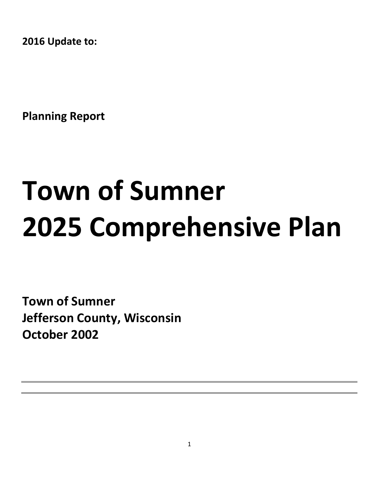**2016 Update to:**

**Planning Report**

# **Town of Sumner 2025 Comprehensive Plan**

**Town of Sumner Jefferson County, Wisconsin October 2002**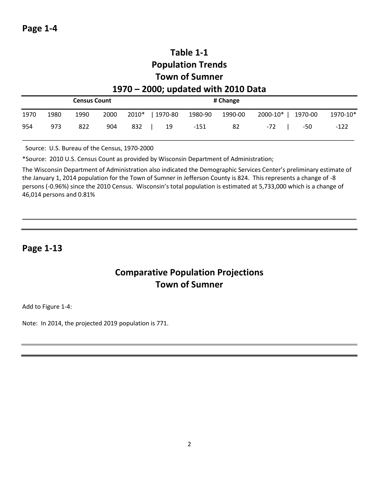# **Table 1-1 Population Trends Town of Sumner 1970 – 2000; updated with 2010 Data**

|      | <b>Census Count</b> |      |      |     |                 | # Change |         |                    |          |
|------|---------------------|------|------|-----|-----------------|----------|---------|--------------------|----------|
| 1970 | 1980                | 1990 | 2000 |     | 2010*   1970-80 | 1980-90  | 1990-00 | 2000-10*   1970-00 | 1970-10* |
| 954  | 973                 | 822  | 904  | 832 | 19              | $-151$   | 82      | -50<br>-72         | $-122$   |

Source: U.S. Bureau of the Census, 1970-2000

\*Source: 2010 U.S. Census Count as provided by Wisconsin Department of Administration;

The Wisconsin Department of Administration also indicated the Demographic Services Center's preliminary estimate of the January 1, 2014 population for the Town of Sumner in Jefferson County is 824. This represents a change of -8 persons (-0.96%) since the 2010 Census. Wisconsin's total population is estimated at 5,733,000 which is a change of 46,014 persons and 0.81%

#### **Page 1-13**

# **Comparative Population Projections Town of Sumner**

Add to Figure 1-4:

Note: In 2014, the projected 2019 population is 771.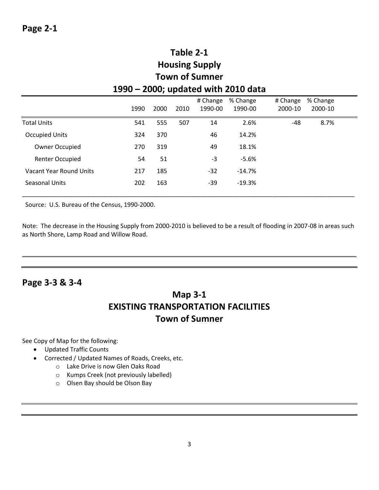# **Table 2-1 Housing Supply Town of Sumner 1990 – 2000; updated with 2010 data**

|                         | 1990 | 2000 | 2010 | # Change<br>1990-00 | % Change<br>1990-00 | # Change<br>2000-10 | % Change<br>2000-10 |  |
|-------------------------|------|------|------|---------------------|---------------------|---------------------|---------------------|--|
| Total Units             | 541  | 555  | 507  | 14                  | 2.6%                | $-48$               | 8.7%                |  |
| <b>Occupied Units</b>   | 324  | 370  |      | 46                  | 14.2%               |                     |                     |  |
| Owner Occupied          | 270  | 319  |      | 49                  | 18.1%               |                     |                     |  |
| <b>Renter Occupied</b>  | 54   | 51   |      | $-3$                | $-5.6%$             |                     |                     |  |
| Vacant Year Round Units | 217  | 185  |      | $-32$               | $-14.7%$            |                     |                     |  |
| Seasonal Units          | 202  | 163  |      | -39                 | $-19.3%$            |                     |                     |  |

Source: U.S. Bureau of the Census, 1990-2000.

Note: The decrease in the Housing Supply from 2000-2010 is believed to be a result of flooding in 2007-08 in areas such as North Shore, Lamp Road and Willow Road.

# **Page 3-3 & 3-4**

# **Map 3-1 EXISTING TRANSPORTATION FACILITIES Town of Sumner**

See Copy of Map for the following:

- Updated Traffic Counts
- Corrected / Updated Names of Roads, Creeks, etc.
	- o Lake Drive is now Glen Oaks Road
	- o Kumps Creek (not previously labelled)
	- o Olsen Bay should be Olson Bay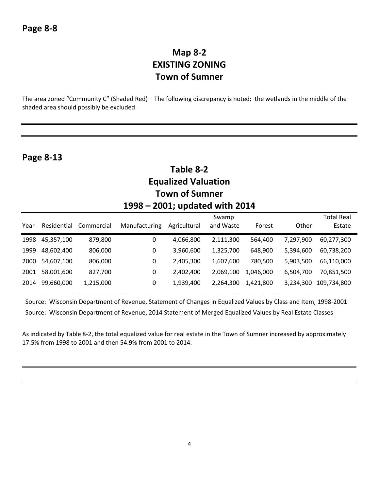# **Map 8-2 EXISTING ZONING Town of Sumner**

The area zoned "Community C" (Shaded Red) – The following discrepancy is noted: the wetlands in the middle of the shaded area should possibly be excluded.

| Table 8-2<br><b>Equalized Valuation</b><br><b>Town of Sumner</b><br>1998 – 2001; updated with 2014 |             |            |                  |              |                    |           |           |                             |  |
|----------------------------------------------------------------------------------------------------|-------------|------------|------------------|--------------|--------------------|-----------|-----------|-----------------------------|--|
| Year                                                                                               | Residential | Commercial | Manufacturing    | Agricultural | Swamp<br>and Waste | Forest    | Other     | <b>Total Real</b><br>Estate |  |
| 1998                                                                                               | 45,357,100  | 879,800    | 0                | 4,066,800    | 2,111,300          | 564,400   | 7,297,900 | 60,277,300                  |  |
| 1999                                                                                               | 48,602,400  | 806,000    | $\boldsymbol{0}$ | 3,960,600    | 1,325,700          | 648,900   | 5,394,600 | 60,738,200                  |  |
| 2000                                                                                               | 54,607,100  | 806,000    | 0                | 2,405,300    | 1,607,600          | 780,500   | 5,903,500 | 66,110,000                  |  |
| 2001                                                                                               | 58,001,600  | 827,700    | $\mathbf 0$      | 2,402,400    | 2,069,100          | 1,046,000 | 6,504,700 | 70,851,500                  |  |
| 2014                                                                                               | 99,660,000  | 1,215,000  | $\boldsymbol{0}$ | 1,939,400    | 2,264,300          | 1,421,800 | 3,234,300 | 109,734,800                 |  |

 Source: Wisconsin Department of Revenue, Statement of Changes in Equalized Values by Class and Item, 1998-2001 Source: Wisconsin Department of Revenue, 2014 Statement of Merged Equalized Values by Real Estate Classes

As indicated by Table 8-2, the total equalized value for real estate in the Town of Sumner increased by approximately 17.5% from 1998 to 2001 and then 54.9% from 2001 to 2014.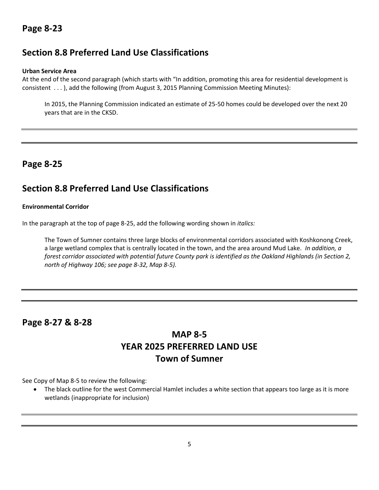# **Section 8.8 Preferred Land Use Classifications**

#### **Urban Service Area**

At the end of the second paragraph (which starts with "In addition, promoting this area for residential development is consistent . . . ), add the following (from August 3, 2015 Planning Commission Meeting Minutes):

In 2015, the Planning Commission indicated an estimate of 25-50 homes could be developed over the next 20 years that are in the CKSD.

# **Page 8-25**

# **Section 8.8 Preferred Land Use Classifications**

#### **Environmental Corridor**

In the paragraph at the top of page 8-25, add the following wording shown in *italics:*

The Town of Sumner contains three large blocks of environmental corridors associated with Koshkonong Creek, a large wetland complex that is centrally located in the town, and the area around Mud Lake. *In addition, a forest corridor associated with potential future County park is identified as the Oakland Highlands (in Section 2, north of Highway 106; see page 8-32, Map 8-5).* 

## **Page 8-27 & 8-28**

# **MAP 8-5 YEAR 2025 PREFERRED LAND USE Town of Sumner**

See Copy of Map 8-5 to review the following:

 The black outline for the west Commercial Hamlet includes a white section that appears too large as it is more wetlands (inappropriate for inclusion)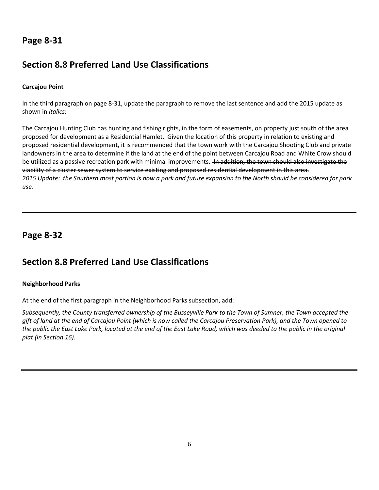# **Section 8.8 Preferred Land Use Classifications**

#### **Carcajou Point**

In the third paragraph on page 8-31, update the paragraph to remove the last sentence and add the 2015 update as shown in *italics*:

The Carcajou Hunting Club has hunting and fishing rights, in the form of easements, on property just south of the area proposed for development as a Residential Hamlet. Given the location of this property in relation to existing and proposed residential development, it is recommended that the town work with the Carcajou Shooting Club and private landowners in the area to determine if the land at the end of the point between Carcajou Road and White Crow should be utilized as a passive recreation park with minimal improvements. <del>In addition, the town should also investigate the</del> viability of a cluster sewer system to service existing and proposed residential development in this area. *2015 Update: the Southern most portion is now a park and future expansion to the North should be considered for park use.* 

## **Page 8-32**

# **Section 8.8 Preferred Land Use Classifications**

#### **Neighborhood Parks**

At the end of the first paragraph in the Neighborhood Parks subsection, add:

*Subsequently, the County transferred ownership of the Busseyville Park to the Town of Sumner, the Town accepted the gift of land at the end of Carcajou Point (which is now called the Carcajou Preservation Park), and the Town opened to the public the East Lake Park, located at the end of the East Lake Road, which was deeded to the public in the original plat (in Section 16).*